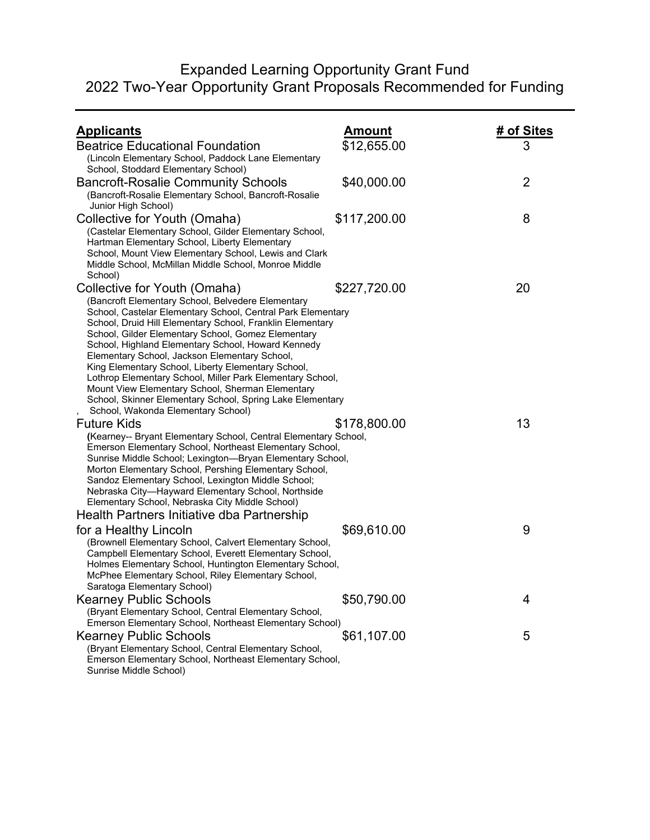## Expanded Learning Opportunity Grant Fund 2022 Two-Year Opportunity Grant Proposals Recommended for Funding

| <b>Applicants</b>                                                                                                                                                                                                                                                                                                                                                                                                                                                                                                                                                                                                                                    | <u>Amount</u> | # of Sites     |
|------------------------------------------------------------------------------------------------------------------------------------------------------------------------------------------------------------------------------------------------------------------------------------------------------------------------------------------------------------------------------------------------------------------------------------------------------------------------------------------------------------------------------------------------------------------------------------------------------------------------------------------------------|---------------|----------------|
| <b>Beatrice Educational Foundation</b>                                                                                                                                                                                                                                                                                                                                                                                                                                                                                                                                                                                                               | \$12,655.00   | 3              |
| (Lincoln Elementary School, Paddock Lane Elementary<br>School, Stoddard Elementary School)                                                                                                                                                                                                                                                                                                                                                                                                                                                                                                                                                           |               |                |
| <b>Bancroft-Rosalie Community Schools</b><br>(Bancroft-Rosalie Elementary School, Bancroft-Rosalie<br>Junior High School)                                                                                                                                                                                                                                                                                                                                                                                                                                                                                                                            | \$40,000.00   | $\overline{2}$ |
| Collective for Youth (Omaha)<br>(Castelar Elementary School, Gilder Elementary School,<br>Hartman Elementary School, Liberty Elementary<br>School, Mount View Elementary School, Lewis and Clark<br>Middle School, McMillan Middle School, Monroe Middle<br>School)                                                                                                                                                                                                                                                                                                                                                                                  | \$117,200.00  | 8              |
| Collective for Youth (Omaha)<br>(Bancroft Elementary School, Belvedere Elementary<br>School, Castelar Elementary School, Central Park Elementary<br>School, Druid Hill Elementary School, Franklin Elementary<br>School, Gilder Elementary School, Gomez Elementary<br>School, Highland Elementary School, Howard Kennedy<br>Elementary School, Jackson Elementary School,<br>King Elementary School, Liberty Elementary School,<br>Lothrop Elementary School, Miller Park Elementary School,<br>Mount View Elementary School, Sherman Elementary<br>School, Skinner Elementary School, Spring Lake Elementary<br>School, Wakonda Elementary School) | \$227,720.00  | 20             |
| <b>Future Kids</b><br>(Kearney-- Bryant Elementary School, Central Elementary School,<br>Emerson Elementary School, Northeast Elementary School,<br>Sunrise Middle School; Lexington-Bryan Elementary School,<br>Morton Elementary School, Pershing Elementary School,<br>Sandoz Elementary School, Lexington Middle School;<br>Nebraska City-Hayward Elementary School, Northside<br>Elementary School, Nebraska City Middle School)                                                                                                                                                                                                                | \$178,800.00  | 13             |
| Health Partners Initiative dba Partnership<br>for a Healthy Lincoln<br>(Brownell Elementary School, Calvert Elementary School,<br>Campbell Elementary School, Everett Elementary School,<br>Holmes Elementary School, Huntington Elementary School,<br>McPhee Elementary School, Riley Elementary School,<br>Saratoga Elementary School)                                                                                                                                                                                                                                                                                                             | \$69,610.00   | 9              |
| <b>Kearney Public Schools</b><br>(Bryant Elementary School, Central Elementary School,                                                                                                                                                                                                                                                                                                                                                                                                                                                                                                                                                               | \$50,790.00   | 4              |
| Emerson Elementary School, Northeast Elementary School)<br><b>Kearney Public Schools</b><br>(Bryant Elementary School, Central Elementary School,<br>Emerson Elementary School, Northeast Elementary School,<br>Sunrise Middle School)                                                                                                                                                                                                                                                                                                                                                                                                               | \$61,107.00   | 5              |